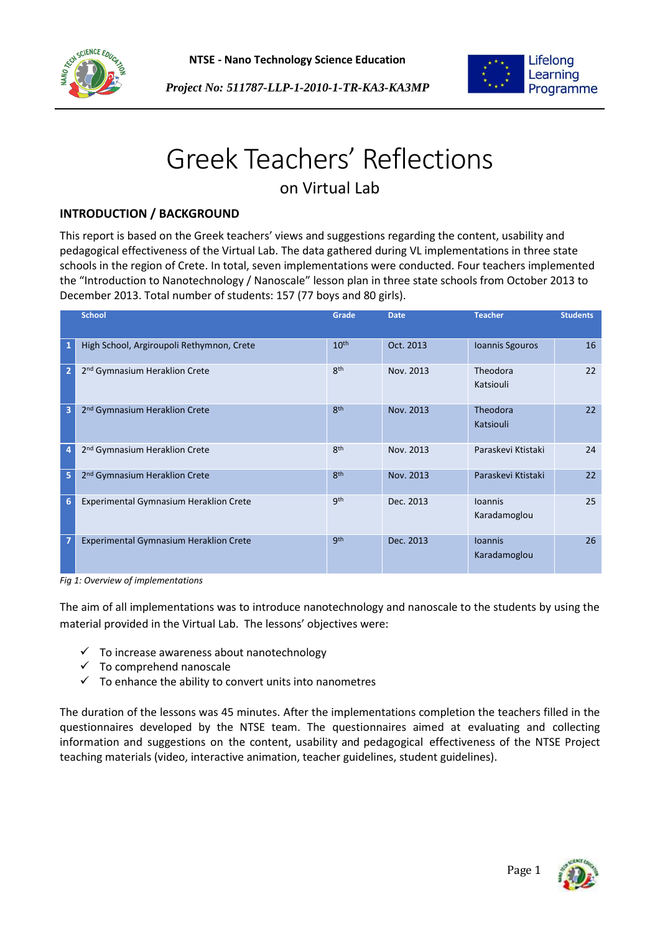



Lifelong Learning Programme

## *Project No: 511787-LLP-1-2010-1-TR-KA3-KA3MP*

# Greek Teachers' Reflections

## on Virtual Lab

## **INTRODUCTION / BACKGROUND**

This report is based on the Greek teachers' views and suggestions regarding the content, usability and pedagogical effectiveness of the Virtual Lab. The data gathered during VL implementations in three state schools in the region of Crete. In total, seven implementations were conducted. Four teachers implemented the "Introduction to Nanotechnology / Nanoscale" lesson plan in three state schools from October 2013 to December 2013. Total number of students: 157 (77 boys and 80 girls).

|                 | <b>School</b>                                 | Grade            | <b>Date</b> | <b>Teacher</b>                 | <b>Students</b> |
|-----------------|-----------------------------------------------|------------------|-------------|--------------------------------|-----------------|
| $\mathbf{1}$    | High School, Argiroupoli Rethymnon, Crete     | 10 <sup>th</sup> | Oct. 2013   | Ioannis Sgouros                | 16              |
| $\overline{2}$  | 2 <sup>nd</sup> Gymnasium Heraklion Crete     | <b>gth</b>       | Nov. 2013   | Theodora<br>Katsiouli          | 22              |
| 3               | 2 <sup>nd</sup> Gymnasium Heraklion Crete     | <b>gth</b>       | Nov. 2013   | Theodora<br>Katsiouli          | 22              |
| 4               | 2 <sup>nd</sup> Gymnasium Heraklion Crete     | 8 <sup>th</sup>  | Nov. 2013   | Paraskevi Ktistaki             | 24              |
| 5               | 2 <sup>nd</sup> Gymnasium Heraklion Crete     | <b>gth</b>       | Nov. 2013   | Paraskevi Ktistaki             | 22              |
| $6\phantom{1}6$ | <b>Experimental Gymnasium Heraklion Crete</b> | <b>gth</b>       | Dec. 2013   | <b>Ioannis</b><br>Karadamoglou | 25              |
| 7               | <b>Experimental Gymnasium Heraklion Crete</b> | gth              | Dec. 2013   | <b>Ioannis</b><br>Karadamoglou | 26              |

*Fig 1: Overview of implementations*

The aim of all implementations was to introduce nanotechnology and nanoscale to the students by using the material provided in the Virtual Lab. The lessons' objectives were:

- $\checkmark$  To increase awareness about nanotechnology
- $\checkmark$  To comprehend nanoscale
- $\checkmark$  To enhance the ability to convert units into nanometres

The duration of the lessons was 45 minutes. After the implementations completion the teachers filled in the questionnaires developed by the NTSE team. The questionnaires aimed at evaluating and collecting information and suggestions on the content, usability and pedagogical effectiveness of the NTSE Project teaching materials (video, interactive animation, teacher guidelines, student guidelines).

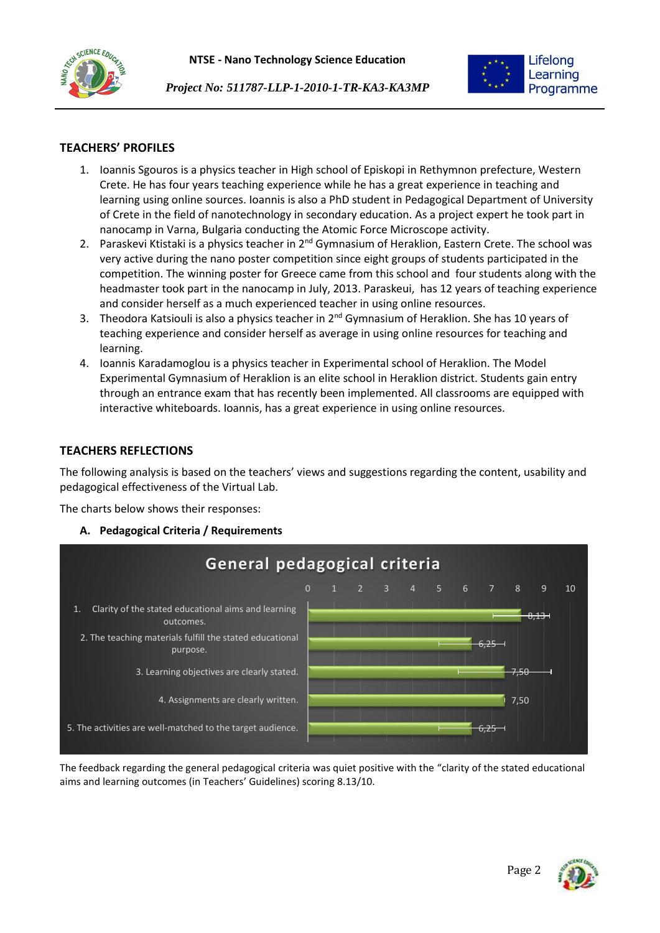





#### **TEACHERS' PROFILES**

- 1. Ioannis Sgouros is a physics teacher in High school of Episkopi in Rethymnon prefecture, Western Crete. He has four years teaching experience while he has a great experience in teaching and learning using online sources. Ioannis is also a PhD student in Pedagogical Department of University of Crete in the field of nanotechnology in secondary education. As a project expert he took part in nanocamp in Varna, Bulgaria conducting the Atomic Force Microscope activity.
- 2. Paraskevi Ktistaki is a physics teacher in 2<sup>nd</sup> Gymnasium of Heraklion, Eastern Crete. The school was very active during the nano poster competition since eight groups of students participated in the competition. The winning poster for Greece came from this school and four students along with the headmaster took part in the nanocamp in July, 2013. Paraskeui, has 12 years of teaching experience and consider herself as a much experienced teacher in using online resources.
- 3. Theodora Katsiouli is also a physics teacher in 2<sup>nd</sup> Gymnasium of Heraklion. She has 10 years of teaching experience and consider herself as average in using online resources for teaching and learning.
- 4. Ioannis Karadamoglou is a physics teacher in Experimental school of Heraklion. The Model Experimental Gymnasium of Heraklion is an elite school in Heraklion district. Students gain entry through an entrance exam that has recently been implemented. All classrooms are equipped with interactive whiteboards. Ioannis, has a great experience in using online resources.

#### **TEACHERS REFLECTIONS**

The following analysis is based on the teachers' views and suggestions regarding the content, usability and pedagogical effectiveness of the Virtual Lab.

The charts below shows their responses:

**A. Pedagogical Criteria / Requirements**



The feedback regarding the general pedagogical criteria was quiet positive with the "clarity of the stated educational aims and learning outcomes (in Teachers' Guidelines) scoring 8.13/10.

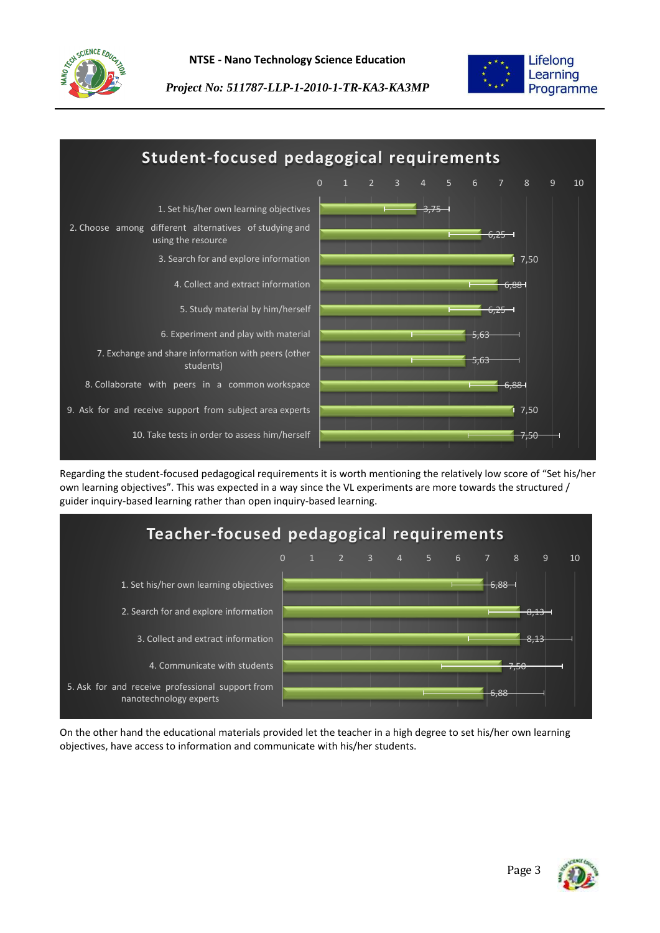



*Project No: 511787-LLP-1-2010-1-TR-KA3-KA3MP*



Regarding the student-focused pedagogical requirements it is worth mentioning the relatively low score of "Set his/her own learning objectives". This was expected in a way since the VL experiments are more towards the structured / guider inquiry-based learning rather than open inquiry-based learning.



On the other hand the educational materials provided let the teacher in a high degree to set his/her own learning objectives, have access to information and communicate with his/her students.

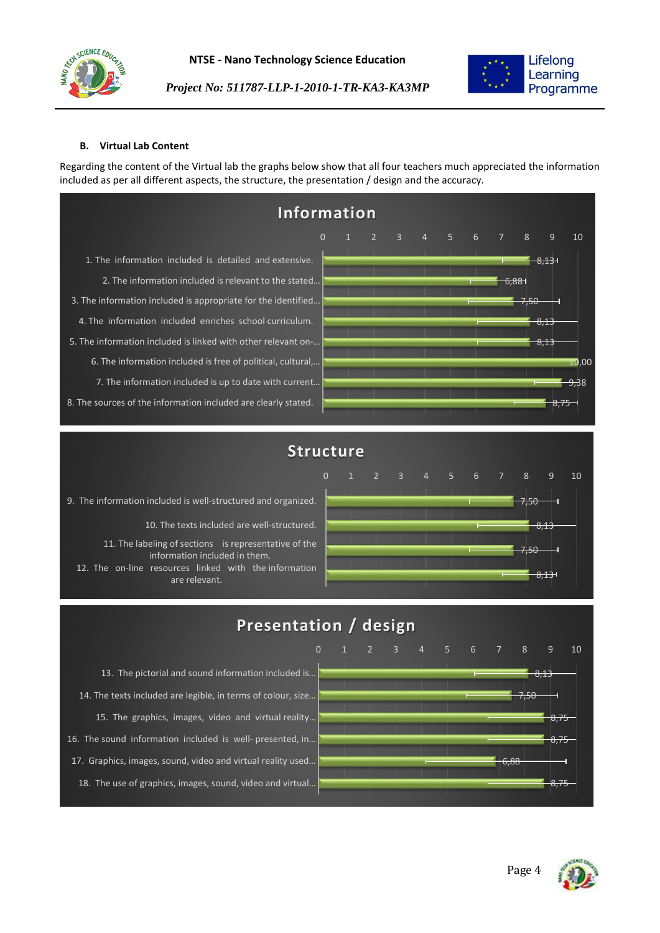



#### **B. Virtual Lab Content**

Regarding the content of the Virtual lab the graphs below show that all four teachers much appreciated the information included as per all different aspects, the structure, the presentation / design and the accuracy.

| Information                                                    |                |  |  |                                     |  |  |       |      |                 |                |                  |
|----------------------------------------------------------------|----------------|--|--|-------------------------------------|--|--|-------|------|-----------------|----------------|------------------|
|                                                                | $\overline{0}$ |  |  | $1 \quad 2 \quad 3 \quad 4 \quad 5$ |  |  | 6 7 8 |      |                 | $\overline{9}$ | 10               |
| 1. The information included is detailed and extensive.         |                |  |  |                                     |  |  |       |      |                 | 8,13           |                  |
| 2. The information included is relevant to the stated          |                |  |  |                                     |  |  |       | 6,88 |                 |                |                  |
| 3. The information included is appropriate for the identified  |                |  |  |                                     |  |  |       |      | $7 - 0$<br>7.50 |                |                  |
| 4. The information included enriches school curriculum.        |                |  |  |                                     |  |  |       |      |                 | 0.12<br>O,LO   |                  |
| 5. The information included is linked with other relevant on-  |                |  |  |                                     |  |  |       |      |                 | 8,13           |                  |
| 6. The information included is free of political, cultural,    |                |  |  |                                     |  |  |       |      |                 |                | 10,00            |
| 7. The information included is up to date with current         |                |  |  |                                     |  |  |       |      |                 |                | <del>9,3</del> 8 |
| 8. The sources of the information included are clearly stated. |                |  |  |                                     |  |  |       |      |                 | د , ہ          |                  |

## **Structure**

9. The information included is well-structured and organized. 10. The texts included are well-structured. 11. The labeling of sections is representative of the information included in them. 12. The on-line resources linked with the information are relevant.



# **Presentation / design**

13. The pictorial and sound information included is… 14. The texts included are legible, in terms of colour, size… 15. The graphics, images, video and virtual reality… 16. The sound information included is well- presented, in… 17. Graphics, images, sound, video and virtual reality used… 18. The use of graphics, images, sound, video and virtual…